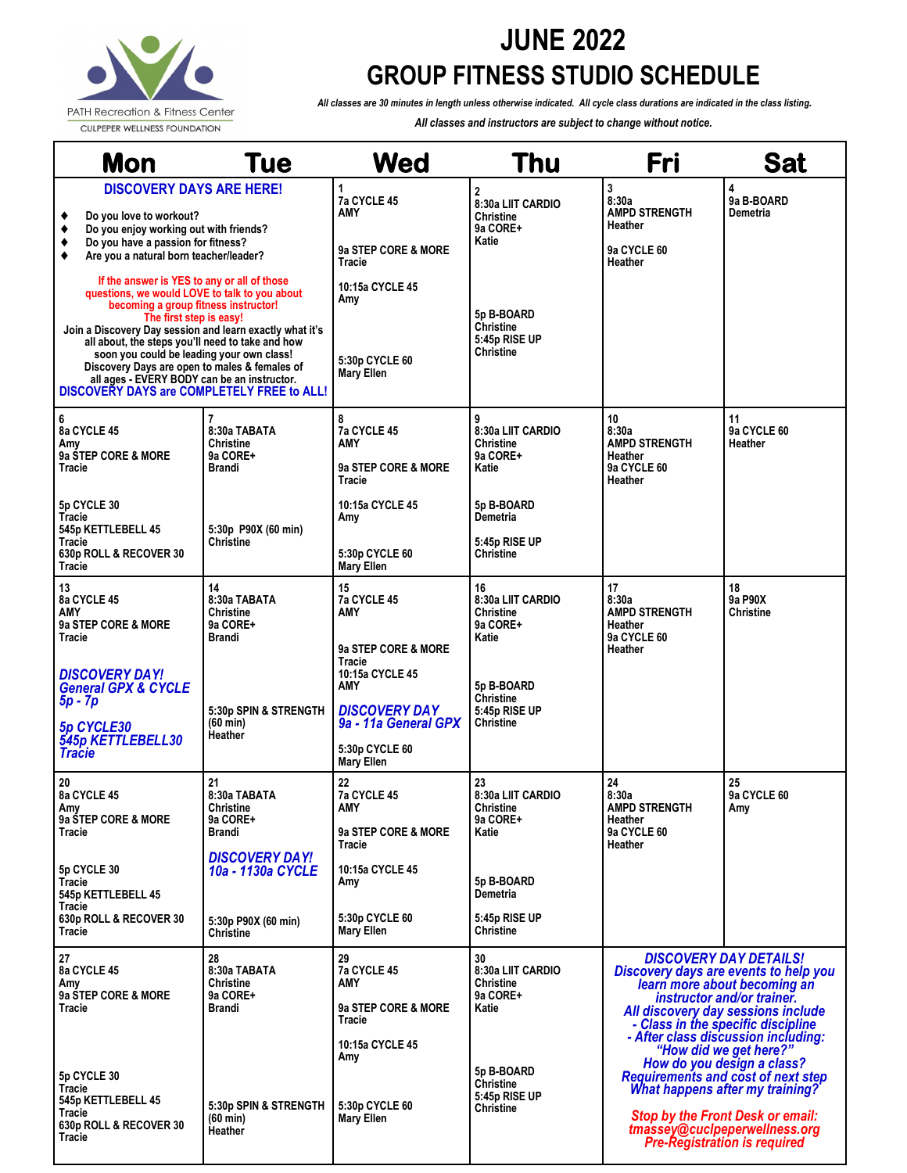

## **JUNE 2022 GROUP FITNESS STUDIO SCHEDULE**

*All classes are 30 minutes in length unless otherwise indicated. All cycle class durations are indicated in the class listing.*

*All classes and instructors are subject to change without notice.*

|                            | <b>Mon</b>                                                                                                                                                                                                                                                                                                                                                                                                                                                                                                | Tue                                                                            | Wed                                                                                                         | Thu                                                                                                                            | Fri                                                                                                                                                                                                                                                                                                                                                                                                                                                                                                                       | <b>Sat</b>                   |
|----------------------------|-----------------------------------------------------------------------------------------------------------------------------------------------------------------------------------------------------------------------------------------------------------------------------------------------------------------------------------------------------------------------------------------------------------------------------------------------------------------------------------------------------------|--------------------------------------------------------------------------------|-------------------------------------------------------------------------------------------------------------|--------------------------------------------------------------------------------------------------------------------------------|---------------------------------------------------------------------------------------------------------------------------------------------------------------------------------------------------------------------------------------------------------------------------------------------------------------------------------------------------------------------------------------------------------------------------------------------------------------------------------------------------------------------------|------------------------------|
| ٠<br>٠<br>٠<br>٠           | <b>DISCOVERY DAYS ARE HERE!</b><br>Do you love to workout?<br>Do you enjoy working out with friends?<br>Do you have a passion for fitness?<br>Are you a natural born teacher/leader?<br>If the answer is YES to any or all of those<br>questions, we would LOVE to talk to you about<br>becoming a group fitness instructor!<br>The first step is easy!<br>all about, the steps you'll need to take and how<br>soon you could be leading your own class!<br>Discovery Days are open to males & females of | Join a Discovery Day session and learn exactly what it's                       | 1<br>7a CYCLE 45<br>AMY<br>9a STEP CORE & MORE<br><b>Tracie</b><br>10:15a CYCLE 45<br>Amy<br>5:30p CYCLE 60 | $\overline{2}$<br>8:30a LIIT CARDIO<br>Christine<br>9a CORE+<br>Katie<br>5p B-BOARD<br>Christine<br>5:45p RISE UP<br>Christine | 3<br>8:30a<br><b>AMPD STRENGTH</b><br>Heather<br>9a CYCLE 60<br>Heather                                                                                                                                                                                                                                                                                                                                                                                                                                                   | 4<br>9a B-BOARD<br>Demetria  |
| 6<br>Amv                   | all ages - EVERY BODY can be an instructor.<br>8a CYCLE 45                                                                                                                                                                                                                                                                                                                                                                                                                                                | DISCOVERY DAYS are COMPLETELY FREE to ALL!<br>7<br>8:30a TABATA<br>Christine   | <b>Mary Ellen</b><br>8<br>7a CYCLE 45<br>AMY                                                                | 9<br>8:30a LIIT CARDIO<br>Christine                                                                                            | 10<br>8:30a<br><b>AMPD STRENGTH</b>                                                                                                                                                                                                                                                                                                                                                                                                                                                                                       | 11<br>9a CYCLE 60<br>Heather |
| Tracie<br>Tracie           | 9a STEP CORE & MORE<br>5p CYCLE 30                                                                                                                                                                                                                                                                                                                                                                                                                                                                        | 9a CORE+<br><b>Brandi</b>                                                      | 9a STEP CORE & MORE<br>Tracie<br>10:15a CYCLE 45                                                            | 9a CORE+<br>Katie<br>5p B-BOARD<br>Demetria                                                                                    | Heather<br>9a CYCLE 60<br>Heather                                                                                                                                                                                                                                                                                                                                                                                                                                                                                         |                              |
| Tracie<br>Tracie<br>13     | 545p KETTLEBELL 45<br>630p ROLL & RECOVER 30                                                                                                                                                                                                                                                                                                                                                                                                                                                              | 5:30p P90X (60 min)<br>Christine<br>14                                         | Amy<br>5:30p CYCLE 60<br><b>Mary Ellen</b><br>15                                                            | 5:45p RISE UP<br>Christine<br>16                                                                                               | 17                                                                                                                                                                                                                                                                                                                                                                                                                                                                                                                        | 18                           |
| AMY<br>Tracie              | 8a CYCLE 45<br>9a STEP CORE & MORE                                                                                                                                                                                                                                                                                                                                                                                                                                                                        | 8:30a TABATA<br>Christine<br>9a CORE+<br><b>Brandi</b>                         | 7a CYCLE 45<br>AMY<br>9a STEP CORE & MORE<br>Tracie                                                         | 8:30a LIIT CARDIO<br>Christine<br>9a CORE+<br>Katie                                                                            | 8:30a<br><b>AMPD STRENGTH</b><br>Heather<br><b>9a CYCLE 60</b><br>Heather                                                                                                                                                                                                                                                                                                                                                                                                                                                 | 9a P90X<br><b>Christine</b>  |
| $5p - 7p$<br><b>Tracie</b> | <b>DISCOVERY DAY!</b><br><b>General GPX &amp; CYCLE</b><br>5p CYCLE30<br>545p KETTLEBELL30                                                                                                                                                                                                                                                                                                                                                                                                                | 5:30p SPIN & STRENGTH<br>(60 min)<br>Heather                                   | 10:15a CYCLE 45<br>AMY<br><b>DISCOVERY DAY</b><br>9a - 11a General GPX<br>5:30p CYCLE 60<br>Mary Ellen      | 5p B-BOARD<br>Christine<br>5:45p RISE UP<br>Christine                                                                          |                                                                                                                                                                                                                                                                                                                                                                                                                                                                                                                           |                              |
| 20<br>Amv<br>Tracie        | 8a CYCLE 45<br>9a STEP CORE & MORE                                                                                                                                                                                                                                                                                                                                                                                                                                                                        | 21<br>8:30a TABATA<br>Christine<br>9a CORE+<br>Brandi                          | 22<br>7a CYCLE 45<br>AMY<br>9a STEP CORE & MORE<br>Tracie                                                   | 23<br>8:30a LIIT CARDIO<br>Christine<br>9a CORE+<br>Katie                                                                      | 24<br>8:30a<br><b>AMPD STRENGTH</b><br>Heather<br>9a CYCLE 60<br>Heather                                                                                                                                                                                                                                                                                                                                                                                                                                                  | 25<br>9a CYCLE 60<br>Amy     |
| Tracie<br>Tracie<br>Tracie | 5p CYCLE 30<br>545p KETTLEBELL 45<br>630p ROLL & RECOVER 30                                                                                                                                                                                                                                                                                                                                                                                                                                               | <b>DISCOVERY DAY!</b><br>10a - 1130a CYCLE<br>5:30p P90X (60 min)<br>Christine | 10:15a CYCLE 45<br>Amy<br>5:30p CYCLE 60<br><b>Mary Ellen</b>                                               | 5p B-BOARD<br>Demetria<br>5:45p RISE UP<br>Christine                                                                           |                                                                                                                                                                                                                                                                                                                                                                                                                                                                                                                           |                              |
| 27<br>Amv<br>Tracie        | 8a CYCLE 45<br>9a STEP CORE & MORE                                                                                                                                                                                                                                                                                                                                                                                                                                                                        | 28<br>8:30a TABATA<br>Christine<br>9a CORE+<br>Brandi                          | 29<br>7a CYCLE 45<br>AMY<br>9a STEP CORE & MORE<br>Tracie                                                   | 30<br>8:30a LIIT CARDIO<br>Christine<br>9a CORE+<br>Katie                                                                      | <b>DISCOVERY DAY DETAILS!</b><br>Discovery days are events to help you<br>learn more about becoming an<br>instructor and/or trainer.<br>All discovery day sessions include<br>- Class in the specific discipline<br>- After class discussion including:<br>"How did we get here?"<br>How do you design a class?<br><b>Requirements and cost of next step</b><br><b>What happens after my training?</b><br><b>Stop by the Front Desk or email:</b><br>tmassey@cuclpeperwellness.org<br><b>Pre-Registration is required</b> |                              |
| Tracie<br>Tracie<br>Tracie | 5p CYCLE 30<br>545p KETTLEBELL 45<br>630p ROLL & RECOVER 30                                                                                                                                                                                                                                                                                                                                                                                                                                               | 5:30p SPIN & STRENGTH<br>$(60 \text{ min})$<br><b>Heather</b>                  | 10:15a CYCLE 45<br>Amy<br>5:30p CYCLE 60<br><b>Mary Ellen</b>                                               | 5p B-BOARD<br>Christine<br>5:45p RISE UP<br>Christine                                                                          |                                                                                                                                                                                                                                                                                                                                                                                                                                                                                                                           |                              |